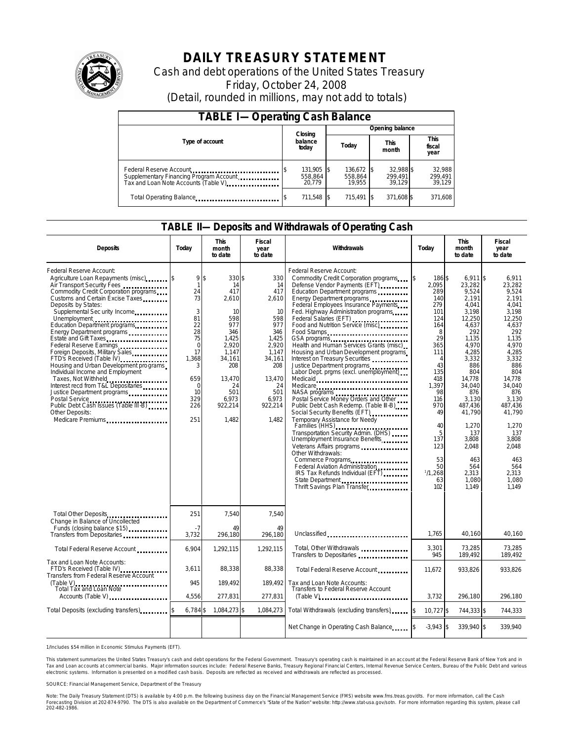

# **DAILY TREASURY STATEMENT**

Cash and debt operations of the United States Treasury Friday, October 24, 2008 (Detail, rounded in millions, may not add to totals)

| <b>TABLE I-Operating Cash Balance</b> |                             |                                 |  |                                 |  |                                |  |                             |  |
|---------------------------------------|-----------------------------|---------------------------------|--|---------------------------------|--|--------------------------------|--|-----------------------------|--|
|                                       |                             |                                 |  | Opening balance                 |  |                                |  |                             |  |
| Type of account                       | Closing<br>balance<br>today |                                 |  | Today                           |  | <b>This</b><br>month           |  | This<br>fiscal<br>year      |  |
| Federal Reserve Account               |                             | 131,905 \$<br>558.864<br>20.779 |  | 136,672 \$<br>558.864<br>19.955 |  | 32,988 \$<br>299.491<br>39.129 |  | 32.988<br>299,491<br>39.129 |  |
| Total Operating Balance               |                             | 711,548 \$                      |  | 715.491 \$                      |  | 371,608 \$                     |  | 371,608                     |  |

### **TABLE II—Deposits and Withdrawals of Operating Cash**

| <b>Deposits</b>                                                                                                                                                                                                                                                                                                                                                                                                                                                                                                                                                                                                                             | Todav                                                                                                                                          | <b>This</b><br>month<br>to date                                                                                                                                         | Fiscal<br>year<br>to date                                                                                                                            | Withdrawals                                                                                                                                                                                                                                                                                                                                                                                                                                                                                                                                                                                                                                                                                                                                                                                                                                                                                                                                                                                                                        | Today                                                                                                                                                                                                                        | <b>This</b><br>month<br>to date                                                                                                                                                                                                                                          | Fiscal<br>year<br>to date                                                                                                                                                                                                                                           |
|---------------------------------------------------------------------------------------------------------------------------------------------------------------------------------------------------------------------------------------------------------------------------------------------------------------------------------------------------------------------------------------------------------------------------------------------------------------------------------------------------------------------------------------------------------------------------------------------------------------------------------------------|------------------------------------------------------------------------------------------------------------------------------------------------|-------------------------------------------------------------------------------------------------------------------------------------------------------------------------|------------------------------------------------------------------------------------------------------------------------------------------------------|------------------------------------------------------------------------------------------------------------------------------------------------------------------------------------------------------------------------------------------------------------------------------------------------------------------------------------------------------------------------------------------------------------------------------------------------------------------------------------------------------------------------------------------------------------------------------------------------------------------------------------------------------------------------------------------------------------------------------------------------------------------------------------------------------------------------------------------------------------------------------------------------------------------------------------------------------------------------------------------------------------------------------------|------------------------------------------------------------------------------------------------------------------------------------------------------------------------------------------------------------------------------|--------------------------------------------------------------------------------------------------------------------------------------------------------------------------------------------------------------------------------------------------------------------------|---------------------------------------------------------------------------------------------------------------------------------------------------------------------------------------------------------------------------------------------------------------------|
| Federal Reserve Account:<br>Agriculture Loan Repayments (misc) [5<br>Air Transport Security Fees<br>Commodity Credit Corporation programs<br>Customs and Certain Excise Taxes<br>Deposits by States:<br>Supplemental Sec urity Income<br>Unemployment<br>Education Department programs<br>Energy Department programs<br>Federal Reserve Earnings<br>Foreign Deposits, Military Sales<br>FTD's Received (Table IV)<br>Housing and Urban Development programs<br>Individual Income and Employment<br>Taxes, Not Withheld<br>Interest recd from T&L Depositaries<br>Justice Department programs<br><b>Other Deposits:</b><br>Medicare Premiums | 9<br>$\mathbf{1}$<br>24<br>73<br>3<br>81<br>22<br>28<br>75<br>$\overline{0}$<br>17<br>1.368<br>3<br>659<br>$\Omega$<br>10<br>329<br>226<br>251 | $\mathsf{\$}$<br>330\$<br>14<br>417<br>2,610<br>10<br>598<br>977<br>346<br>1.425<br>2,920<br>1,147<br>34.161<br>208<br>13,470<br>24<br>501<br>6.973<br>922,214<br>1.482 | 330<br>14<br>417<br>2,610<br>10<br>598<br>977<br>346<br>1.425<br>2,920<br>1,147<br>34,161<br>208<br>13,470<br>24<br>501<br>6,973<br>922,214<br>1.482 | Federal Reserve Account:<br>Commodity Credit Corporation programs<br>Defense Vendor Payments (EFT)<br>Education Department programs<br>Energy Department programs<br>Federal Employees Insurance Payments<br>Fed. Highway Administration programs<br>Federal Salaries (EFT) ,<br>Food and Nutrition Service (misc)<br>Food Stamps<br>Health and Human Services Grants (misc)<br>Housing and Urban Development programs<br>Interest on Treasury Securities<br>Justice Department programs<br>Labor Dept. prgms (excl. unemployment)<br>Medicaid<br>Medicare<br>NASA programs<br>Postal Service Money Orders and Other<br>Public Debt Cash Redemp. (Table III-B)<br>Social Security Benefits (EFT)<br>Temporary Assistance for Needy<br>Families (HHS)<br>Transportation Security Admin. (DHS)<br>Unemployment Insurance Benefits<br>Veterans Affairs programs<br>Other Withdrawals:<br>Commerce Programs<br>Federal Aviation Administration<br>IRS Tax Refunds Individual (EFT)<br>State Department<br>Thrift Savings Plan Transfer | <sup>\$</sup><br>186 \$<br>2.095<br>289<br>140<br>279<br>101<br>124<br>164<br>8<br>29<br>365<br>111<br>4<br>43<br>135<br>418<br>1,397<br>98<br>116<br>970<br>49<br>40<br>5<br>137<br>123<br>53<br>50<br>1/1.268<br>63<br>102 | $6,911$ \$<br>23.282<br>9,524<br>2,191<br>4.041<br>3,198<br>12,250<br>4,637<br>292<br>1,135<br>4,970<br>4,285<br>3,332<br>886<br>804<br>14,778<br>34.040<br>876<br>3,130<br>487,436<br>41.790<br>1,270<br>137<br>3.808<br>2.048<br>463<br>564<br>2.313<br>1,080<br>1.149 | 6,911<br>23.282<br>9,524<br>2.191<br>4.041<br>3.198<br>12,250<br>4,637<br>292<br>1.135<br>4,970<br>4.285<br>3,332<br>886<br>804<br>14,778<br>34.040<br>876<br>3,130<br>487.436<br>41.790<br>1,270<br>137<br>3.808<br>2.048<br>463<br>564<br>2.313<br>1.080<br>1.149 |
| Total Other Deposits<br>Change in Balance of Uncollected                                                                                                                                                                                                                                                                                                                                                                                                                                                                                                                                                                                    | 251                                                                                                                                            | 7,540                                                                                                                                                                   | 7,540                                                                                                                                                |                                                                                                                                                                                                                                                                                                                                                                                                                                                                                                                                                                                                                                                                                                                                                                                                                                                                                                                                                                                                                                    |                                                                                                                                                                                                                              |                                                                                                                                                                                                                                                                          |                                                                                                                                                                                                                                                                     |
| Funds (closing balance \$15)<br>Transfers from Depositaries                                                                                                                                                                                                                                                                                                                                                                                                                                                                                                                                                                                 | -7<br>3,732                                                                                                                                    | 49<br>296,180                                                                                                                                                           | 49<br>296,180                                                                                                                                        | Unclassified <b>container and all of the contact of the contact of the contact of the contact of the contact of the contact of the contact of the contact of the contact of the contact of the contact of the contact of the con</b>                                                                                                                                                                                                                                                                                                                                                                                                                                                                                                                                                                                                                                                                                                                                                                                               | 1,765                                                                                                                                                                                                                        | 40,160                                                                                                                                                                                                                                                                   | 40,160                                                                                                                                                                                                                                                              |
| Total Federal Reserve Account                                                                                                                                                                                                                                                                                                                                                                                                                                                                                                                                                                                                               | 6,904                                                                                                                                          | 1,292,115                                                                                                                                                               | 1,292,115                                                                                                                                            | Total, Other Withdrawals<br>Transfers to Depositaries                                                                                                                                                                                                                                                                                                                                                                                                                                                                                                                                                                                                                                                                                                                                                                                                                                                                                                                                                                              | 3,301<br>945                                                                                                                                                                                                                 | 73,285<br>189.492                                                                                                                                                                                                                                                        | 73,285<br>189,492                                                                                                                                                                                                                                                   |
| Tax and Loan Note Accounts:<br>FTD's Received (Table IV)<br>Transfers from Federal Reserve Account                                                                                                                                                                                                                                                                                                                                                                                                                                                                                                                                          | 3,611                                                                                                                                          | 88,338                                                                                                                                                                  | 88,338                                                                                                                                               | Total Federal Reserve Account                                                                                                                                                                                                                                                                                                                                                                                                                                                                                                                                                                                                                                                                                                                                                                                                                                                                                                                                                                                                      | 11,672                                                                                                                                                                                                                       | 933,826                                                                                                                                                                                                                                                                  | 933,826                                                                                                                                                                                                                                                             |
| (Table V)<br>Total Tax and Loan Note<br>Accounts (Table V) <b>Accounts</b> (Table V)                                                                                                                                                                                                                                                                                                                                                                                                                                                                                                                                                        | 945<br>4,556                                                                                                                                   | 189,492<br>277,831                                                                                                                                                      | 189.492<br>277,831                                                                                                                                   | Tax and Loan Note Accounts:<br>Transfers to Federal Reserve Account<br>$(Table V)$                                                                                                                                                                                                                                                                                                                                                                                                                                                                                                                                                                                                                                                                                                                                                                                                                                                                                                                                                 | 3,732                                                                                                                                                                                                                        | 296,180                                                                                                                                                                                                                                                                  | 296,180                                                                                                                                                                                                                                                             |
| Total Deposits (excluding transfers)                                                                                                                                                                                                                                                                                                                                                                                                                                                                                                                                                                                                        | 6,784 \$                                                                                                                                       | 1,084,273 \$                                                                                                                                                            | 1,084,273                                                                                                                                            | Total Withdrawals (excluding transfers)                                                                                                                                                                                                                                                                                                                                                                                                                                                                                                                                                                                                                                                                                                                                                                                                                                                                                                                                                                                            | 10,727 \$<br>\$                                                                                                                                                                                                              | 744,333 \$                                                                                                                                                                                                                                                               | 744,333                                                                                                                                                                                                                                                             |
|                                                                                                                                                                                                                                                                                                                                                                                                                                                                                                                                                                                                                                             |                                                                                                                                                |                                                                                                                                                                         |                                                                                                                                                      | Net Change in Operating Cash Balance                                                                                                                                                                                                                                                                                                                                                                                                                                                                                                                                                                                                                                                                                                                                                                                                                                                                                                                                                                                               | $-3,943$ \$                                                                                                                                                                                                                  | 339,940 \$                                                                                                                                                                                                                                                               | 339,940                                                                                                                                                                                                                                                             |

1/Includes \$54 million in Economic Stimulus Payments (EFT).

This statement summarizes the United States Treasury's cash and debt operations for the Federal Government. Treasury's operating cash is maintained in an account at the Federal Reserve Bank of New York and in<br>Tax and Loan electronic systems. Information is presented on a modified cash basis. Deposits are reflected as received and withdrawals are reflected as processed.

SOURCE: Financial Management Service, Department of the Treasury

Note: The Daily Treasury Statement (DTS) is available by 4:00 p.m. the following business day on the Financial Management Service (FMS) website www.fms.treas.gov/dts. For more information, call the Cash Forecasting Division at 202-874-9790. The DTS is also available on the Department of Commerce's "State of the Nation" website: http://www.stat-usa.gov/sotn. For more information regarding this system, please call<br>202-482-1